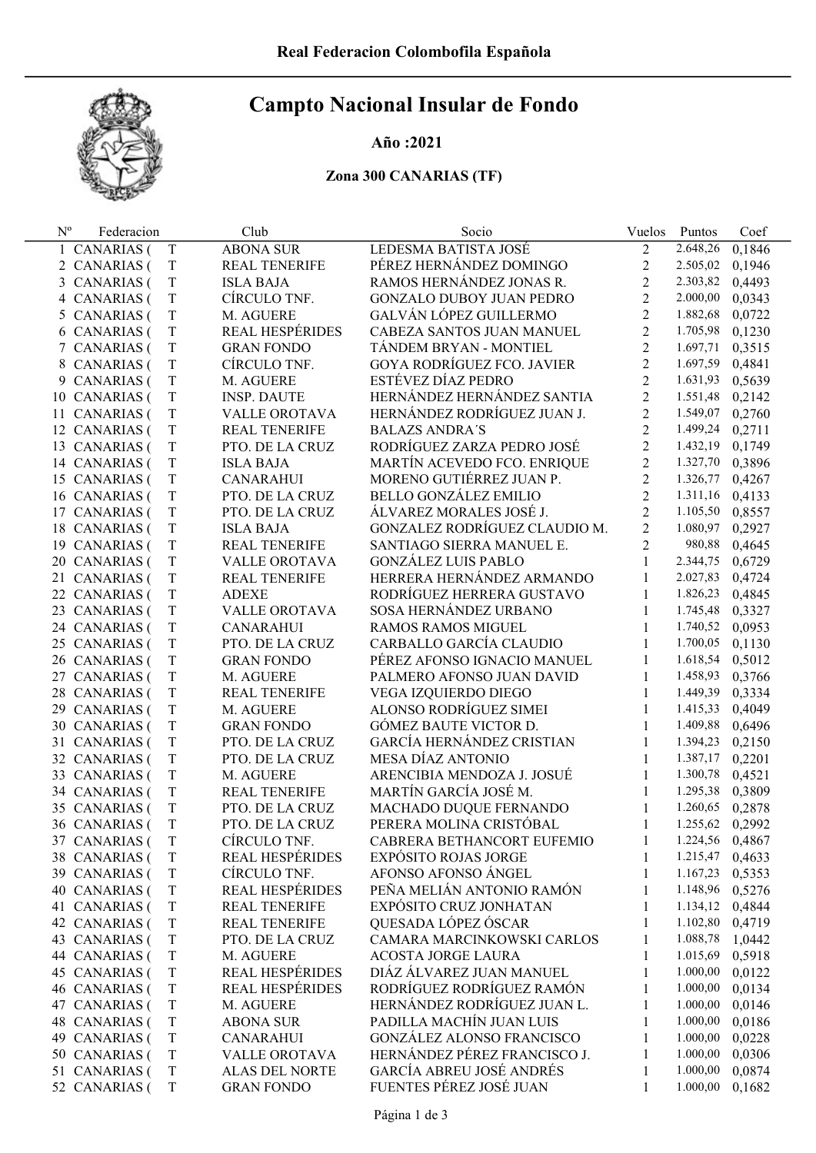# Campto Nacional Insular de Fondo

### Año :2021

## Zona 300 CANARIAS (TF)

| $N^{o}$ | Federacion        |             | Club                   | Socio                             | Vuelos         | Puntos          | Coef   |
|---------|-------------------|-------------|------------------------|-----------------------------------|----------------|-----------------|--------|
|         | 1 CANARIAS (      | T           | <b>ABONA SUR</b>       | LEDESMA BATISTA JOSÉ              | 2              | 2.648,26        | 0,1846 |
|         | 2 CANARIAS (      | T           | REAL TENERIFE          | PÉREZ HERNÁNDEZ DOMINGO           | $\overline{2}$ | 2.505,02        | 0,1946 |
|         | 3 CANARIAS (      | $\rm T$     | <b>ISLA BAJA</b>       | RAMOS HERNÁNDEZ JONAS R.          | $\overline{2}$ | 2.303,82        | 0,4493 |
|         | 4 CANARIAS (      | T           | CÍRCULO TNF.           | <b>GONZALO DUBOY JUAN PEDRO</b>   | $\overline{2}$ | 2.000,00        | 0,0343 |
|         | 5 CANARIAS (      | T           | M. AGUERE              | GALVÁN LÓPEZ GUILLERMO            | $\overline{2}$ | 1.882,68        | 0,0722 |
|         | 6 CANARIAS (      | T           | <b>REAL HESPÉRIDES</b> | CABEZA SANTOS JUAN MANUEL         | $\overline{2}$ | 1.705,98        | 0,1230 |
|         | 7 CANARIAS (      | T           | <b>GRAN FONDO</b>      | TÁNDEM BRYAN - MONTIEL            | $\overline{2}$ | 1.697,71        | 0,3515 |
|         | 8 CANARIAS (      | T           | CÍRCULO TNF.           | <b>GOYA RODRÍGUEZ FCO. JAVIER</b> | $\overline{2}$ | 1.697,59        | 0,4841 |
|         | 9 CANARIAS (      | T           | M. AGUERE              | ESTÉVEZ DÍAZ PEDRO                | $\overline{2}$ | 1.631,93        | 0,5639 |
|         | 10 CANARIAS (     | T           | <b>INSP. DAUTE</b>     | HERNÁNDEZ HERNÁNDEZ SANTIA        | $\overline{2}$ | 1.551,48        | 0,2142 |
| 11      | <b>CANARIAS</b> ( | T           | VALLE OROTAVA          | HERNÁNDEZ RODRÍGUEZ JUAN J.       | $\overline{2}$ | 1.549,07        | 0,2760 |
|         | 12 CANARIAS (     | T           | <b>REAL TENERIFE</b>   | <b>BALAZS ANDRA'S</b>             | $\overline{2}$ | 1.499,24 0,2711 |        |
|         | 13 CANARIAS (     | T           | PTO. DE LA CRUZ        | RODRÍGUEZ ZARZA PEDRO JOSÉ        | $\overline{2}$ | 1.432,19 0,1749 |        |
|         | 14 CANARIAS (     | T           | <b>ISLA BAJA</b>       | MARTÍN ACEVEDO FCO. ENRIQUE       | $\overline{2}$ | 1.327,70        | 0,3896 |
|         | 15 CANARIAS (     | T           | <b>CANARAHUI</b>       | MORENO GUTIÉRREZ JUAN P.          | $\overline{2}$ | 1.326,77        | 0,4267 |
|         | 16 CANARIAS (     | T           | PTO. DE LA CRUZ        | <b>BELLO GONZÁLEZ EMILIO</b>      | $\overline{2}$ | 1.311,16 0,4133 |        |
|         | 17 CANARIAS (     | T           | PTO. DE LA CRUZ        | ÁLVAREZ MORALES JOSÉ J.           | $\overline{2}$ | 1.105,50        | 0,8557 |
|         | 18 CANARIAS (     | T           | <b>ISLA BAJA</b>       | GONZALEZ RODRÍGUEZ CLAUDIO M.     | $\overline{2}$ | 1.080,97        | 0,2927 |
|         | 19 CANARIAS (     | T           | <b>REAL TENERIFE</b>   | SANTIAGO SIERRA MANUEL E.         | $\overline{2}$ | 980,88          | 0,4645 |
|         | 20 CANARIAS (     | T           | VALLE OROTAVA          | <b>GONZÁLEZ LUIS PABLO</b>        | $\mathbf{1}$   | 2.344,75        | 0,6729 |
|         | 21 CANARIAS (     | T           | REAL TENERIFE          | HERRERA HERNÁNDEZ ARMANDO         | 1              | 2.027,83 0,4724 |        |
|         | 22 CANARIAS (     | T           | <b>ADEXE</b>           | RODRÍGUEZ HERRERA GUSTAVO         | $\mathbf{1}$   | 1.826,23        | 0,4845 |
|         | 23 CANARIAS (     | T           | VALLE OROTAVA          | SOSA HERNÁNDEZ URBANO             | $\mathbf{1}$   | 1.745,48        | 0,3327 |
|         | 24 CANARIAS (     | T           | <b>CANARAHUI</b>       | RAMOS RAMOS MIGUEL                | 1              | 1.740,52 0,0953 |        |
|         | 25 CANARIAS (     | T           | PTO. DE LA CRUZ        | CARBALLO GARCÍA CLAUDIO           | $\mathbf{1}$   | 1.700,05        | 0,1130 |
|         | 26 CANARIAS (     | T           | <b>GRAN FONDO</b>      | PÉREZ AFONSO IGNACIO MANUEL       | 1              | 1.618,54 0,5012 |        |
|         | 27 CANARIAS (     | T           | M. AGUERE              | PALMERO AFONSO JUAN DAVID         | $\mathbf{1}$   | 1.458,93        | 0,3766 |
|         | 28 CANARIAS (     | T           | <b>REAL TENERIFE</b>   | VEGA IZQUIERDO DIEGO              | 1              | 1.449,39        | 0,3334 |
|         | 29 CANARIAS (     | T           | M. AGUERE              | ALONSO RODRÍGUEZ SIMEI            | 1              | 1.415,33        | 0,4049 |
|         | 30 CANARIAS (     | T           | <b>GRAN FONDO</b>      | GÓMEZ BAUTE VICTOR D.             | 1              | 1.409,88        | 0,6496 |
|         | 31 CANARIAS (     | T           | PTO. DE LA CRUZ        | GARCÍA HERNÁNDEZ CRISTIAN         | 1              | 1.394,23        | 0,2150 |
|         | 32 CANARIAS (     | T           | PTO. DE LA CRUZ        | MESA DÍAZ ANTONIO                 | 1              | 1.387,17        | 0,2201 |
|         | 33 CANARIAS (     | T           | M. AGUERE              | ARENCIBIA MENDOZA J. JOSUÉ        | $\mathbf{1}$   | 1.300,78        | 0,4521 |
|         | 34 CANARIAS (     | T           | <b>REAL TENERIFE</b>   | MARTÍN GARCÍA JOSÉ M.             | 1              | 1.295,38        | 0,3809 |
|         | 35 CANARIAS (     | T           | PTO. DE LA CRUZ        | MACHADO DUQUE FERNANDO            | 1              | 1.260,65        | 0,2878 |
|         | 36 CANARIAS (     | T           | PTO. DE LA CRUZ        | PERERA MOLINA CRISTÓBAL           | 1              | 1.255,62        | 0,2992 |
|         | 37 CANARIAS (     | T           | CÍRCULO TNF.           | CABRERA BETHANCORT EUFEMIO        |                | 1.224,56 0,4867 |        |
|         | 38 CANARIAS (     | T           | <b>REAL HESPÉRIDES</b> | <b>EXPÓSITO ROJAS JORGE</b>       | 1              | 1.215,47        | 0,4633 |
|         | 39 CANARIAS (     | T           | CÍRCULO TNF.           | AFONSO AFONSO ÁNGEL               | 1              | 1.167,23 0,5353 |        |
|         | 40 CANARIAS (     | T           | <b>REAL HESPÉRIDES</b> | PEÑA MELIÁN ANTONIO RAMÓN         | 1              | 1.148,96 0,5276 |        |
|         | 41 CANARIAS (     | T           | <b>REAL TENERIFE</b>   | EXPÓSITO CRUZ JONHATAN            | 1              | 1.134,12 0,4844 |        |
|         | 42 CANARIAS (     | T           | <b>REAL TENERIFE</b>   | QUESADA LÓPEZ ÓSCAR               | 1              | 1.102,80 0,4719 |        |
|         | 43 CANARIAS (     | T           | PTO. DE LA CRUZ        | CAMARA MARCINKOWSKI CARLOS        | 1              | 1.088,78        | 1,0442 |
|         | 44 CANARIAS (     | T           | M. AGUERE              | <b>ACOSTA JORGE LAURA</b>         | 1              | 1.015,69        | 0,5918 |
|         | 45 CANARIAS (     | T           | REAL HESPÉRIDES        | DIÁZ ÁLVAREZ JUAN MANUEL          | 1              | 1.000,00        | 0,0122 |
|         | 46 CANARIAS (     | T           | <b>REAL HESPÉRIDES</b> | RODRÍGUEZ RODRÍGUEZ RAMÓN         | 1              | 1.000,00        | 0,0134 |
|         | 47 CANARIAS (     | T           | M. AGUERE              | HERNÁNDEZ RODRÍGUEZ JUAN L.       | 1              | 1.000,00        | 0,0146 |
|         | 48 CANARIAS (     | $\mathbf T$ | <b>ABONA SUR</b>       | PADILLA MACHÍN JUAN LUIS          | 1              | 1.000,00        | 0,0186 |
|         | 49 CANARIAS (     | T           | <b>CANARAHUI</b>       | <b>GONZÁLEZ ALONSO FRANCISCO</b>  | 1              | 1.000,00        | 0,0228 |
|         | 50 CANARIAS (     | T           | VALLE OROTAVA          | HERNÁNDEZ PÉREZ FRANCISCO J.      | 1              | 1.000,00        | 0,0306 |
|         | 51 CANARIAS (     | T           | ALAS DEL NORTE         | GARCÍA ABREU JOSÉ ANDRÉS          | 1              | 1.000,00        | 0,0874 |
|         | 52 CANARIAS (     | T           | <b>GRAN FONDO</b>      | FUENTES PÉREZ JOSÉ JUAN           | $\mathbf{1}$   | 1.000,00        | 0,1682 |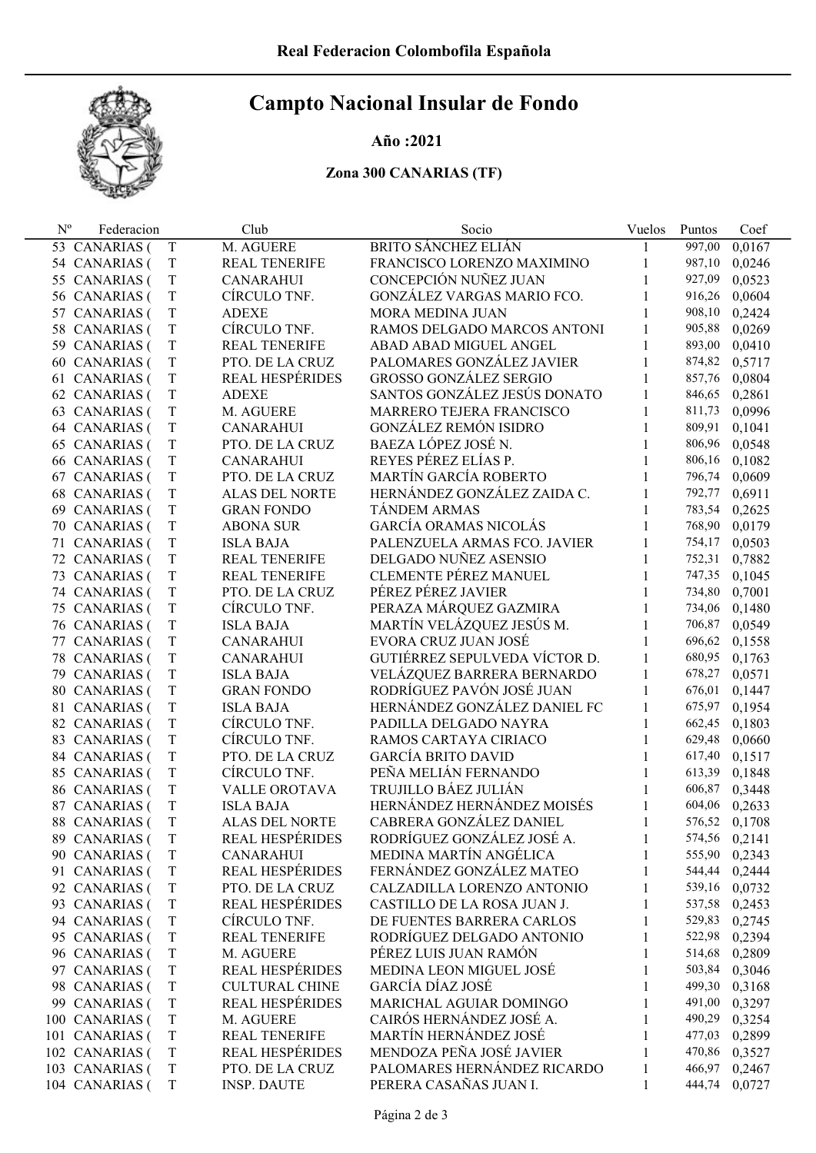# Campto Nacional Insular de Fondo

### Año :2021

## Zona 300 CANARIAS (TF)

| $N^{o}$ | Federacion                         |                  | Club                              | Socio                         | Vuelos | Puntos           | Coef             |
|---------|------------------------------------|------------------|-----------------------------------|-------------------------------|--------|------------------|------------------|
|         | 53 CANARIAS (                      | T                | M. AGUERE                         | <b>BRITO SÁNCHEZ ELIÁN</b>    | 1      | 997,00           | 0,0167           |
|         | 54 CANARIAS (                      | T                | <b>REAL TENERIFE</b>              | FRANCISCO LORENZO MAXIMINO    | 1      | 987,10           | 0,0246           |
|         | 55 CANARIAS (                      | T                | <b>CANARAHUI</b>                  | CONCEPCIÓN NUÑEZ JUAN         | 1      | 927,09           | 0,0523           |
|         | 56 CANARIAS (                      | T                | CÍRCULO TNF.                      | GONZÁLEZ VARGAS MARIO FCO.    | 1      | 916,26           | 0,0604           |
|         | 57 CANARIAS (                      | T                | <b>ADEXE</b>                      | <b>MORA MEDINA JUAN</b>       | 1      | 908,10           | 0,2424           |
|         | 58 CANARIAS (                      | T                | CÍRCULO TNF.                      | RAMOS DELGADO MARCOS ANTONI   | 1      | 905,88           | 0,0269           |
|         | 59 CANARIAS (                      | T                | <b>REAL TENERIFE</b>              | ABAD ABAD MIGUEL ANGEL        | 1      | 893,00           | 0,0410           |
|         | 60 CANARIAS (                      | $\mathbf T$      | PTO. DE LA CRUZ                   | PALOMARES GONZÁLEZ JAVIER     | 1      | 874,82           | 0,5717           |
|         | 61 CANARIAS (                      | T                | <b>REAL HESPÉRIDES</b>            | <b>GROSSO GONZÁLEZ SERGIO</b> | 1      | 857,76           | 0,0804           |
|         | 62 CANARIAS (                      | T                | <b>ADEXE</b>                      | SANTOS GONZÁLEZ JESÚS DONATO  | 1      | 846,65           | 0,2861           |
|         | 63 CANARIAS (                      | T                | M. AGUERE                         | MARRERO TEJERA FRANCISCO      | 1      | 811,73           | 0,0996           |
|         | 64 CANARIAS (                      | $\mathbf T$      | <b>CANARAHUI</b>                  | <b>GONZÁLEZ REMÓN ISIDRO</b>  | 1      | 809,91           | 0,1041           |
|         | 65 CANARIAS (                      | T                | PTO. DE LA CRUZ                   | BAEZA LÓPEZ JOSÉ N.           | 1      | 806,96           | 0,0548           |
|         | 66 CANARIAS (                      | $\mathbf T$      | <b>CANARAHUI</b>                  | REYES PÉREZ ELÍAS P.          | 1      | 806,16           | 0,1082           |
|         | 67 CANARIAS (                      | T                | PTO. DE LA CRUZ                   | MARTÍN GARCÍA ROBERTO         |        | 796,74           | 0,0609           |
|         | 68 CANARIAS (                      | $\mathbf T$      | <b>ALAS DEL NORTE</b>             | HERNÁNDEZ GONZÁLEZ ZAIDA C.   |        | 792,77           | 0,6911           |
|         | 69 CANARIAS (                      | T                | <b>GRAN FONDO</b>                 | <b>TÁNDEM ARMAS</b>           | 1      | 783,54           | 0,2625           |
|         | 70 CANARIAS (                      | $\mathbf T$      | <b>ABONA SUR</b>                  | GARCÍA ORAMAS NICOLÁS         |        | 768,90           | 0,0179           |
|         | 71 CANARIAS (                      | T                | <b>ISLA BAJA</b>                  | PALENZUELA ARMAS FCO. JAVIER  |        | 754,17           | 0,0503           |
|         | 72 CANARIAS (                      | $\mathbf T$      | <b>REAL TENERIFE</b>              | DELGADO NUÑEZ ASENSIO         | 1      | 752,31           | 0,7882           |
|         | 73 CANARIAS (                      | T                | <b>REAL TENERIFE</b>              | <b>CLEMENTE PÉREZ MANUEL</b>  | 1      | 747,35           | 0,1045           |
|         | 74 CANARIAS (                      | $\mathbf T$      | PTO. DE LA CRUZ                   | PÉREZ PÉREZ JAVIER            | 1      | 734,80           | 0,7001           |
|         | 75 CANARIAS (                      | T                | CÍRCULO TNF.                      | PERAZA MÁRQUEZ GAZMIRA        | 1      | 734,06           | 0,1480           |
|         | 76 CANARIAS (                      | T                | <b>ISLA BAJA</b>                  | MARTÍN VELÁZQUEZ JESÚS M.     | 1      | 706,87           | 0,0549           |
|         | 77 CANARIAS (                      | T                | CANARAHUI                         | EVORA CRUZ JUAN JOSÉ          | 1      | 696,62           | 0,1558           |
|         | 78 CANARIAS (                      | T                | <b>CANARAHUI</b>                  | GUTIÉRREZ SEPULVEDA VÍCTOR D. | 1      | 680,95           | 0,1763           |
|         | 79 CANARIAS (                      | T                | <b>ISLA BAJA</b>                  | VELÁZQUEZ BARRERA BERNARDO    | 1      | 678,27           | 0,0571           |
|         | 80 CANARIAS (                      | T                | <b>GRAN FONDO</b>                 | RODRÍGUEZ PAVÓN JOSÉ JUAN     | 1      | 676,01           | 0,1447           |
|         | 81 CANARIAS (                      | T                | <b>ISLA BAJA</b>                  | HERNÁNDEZ GONZÁLEZ DANIEL FC  | 1      | 675,97           | 0,1954           |
|         | 82 CANARIAS (                      | T                | CÍRCULO TNF.                      | PADILLA DELGADO NAYRA         | 1      | 662,45           | 0,1803           |
|         | 83 CANARIAS (                      | T                | CÍRCULO TNF.                      | RAMOS CARTAYA CIRIACO         | 1      | 629,48           | 0,0660           |
|         | 84 CANARIAS (                      | T                | PTO. DE LA CRUZ                   | <b>GARCÍA BRITO DAVID</b>     | 1      | 617,40           | 0,1517           |
|         | 85 CANARIAS (                      | T                | CÍRCULO TNF.                      | PEÑA MELIÁN FERNANDO          | 1      | 613,39           | 0,1848           |
|         | 86 CANARIAS (                      | T                | VALLE OROTAVA                     | TRUJILLO BÁEZ JULIÁN          | 1      | 606,87           | 0,3448           |
| 87      | <b>CANARIAS</b> (                  | T                | <b>ISLA BAJA</b>                  | HERNÁNDEZ HERNÁNDEZ MOISÉS    |        | 604,06           | 0,2633           |
|         | 88 CANARIAS (                      | T                | <b>ALAS DEL NORTE</b>             | CABRERA GONZÁLEZ DANIEL       | 1      |                  | 576,52 0,1708    |
|         | 89 CANARIAS (                      | T                | REAL HESPÉRIDES                   | RODRÍGUEZ GONZÁLEZ JOSÉ A.    | 1      | 574,56 0,2141    |                  |
|         | 90 CANARIAS (                      | T                | <b>CANARAHUI</b>                  | MEDINA MARTÍN ANGÉLICA        |        | 555,90           | 0,2343           |
|         | 91 CANARIAS (                      | $\mathbf T$      | <b>REAL HESPÉRIDES</b>            | FERNÁNDEZ GONZÁLEZ MATEO      |        | 544,44           | 0,2444           |
|         | 92 CANARIAS (                      | T                | PTO. DE LA CRUZ                   | CALZADILLA LORENZO ANTONIO    |        | 539,16           | 0,0732           |
|         | 93 CANARIAS (                      | $\mathbf T$      | <b>REAL HESPÉRIDES</b>            | CASTILLO DE LA ROSA JUAN J.   |        | 537,58           | 0,2453           |
|         | 94 CANARIAS (                      | T                | CÍRCULO TNF.                      | DE FUENTES BARRERA CARLOS     |        | 529,83           | 0,2745           |
|         | 95 CANARIAS (                      | $\mathbf T$      | <b>REAL TENERIFE</b>              | RODRÍGUEZ DELGADO ANTONIO     | 1      | 522,98           | 0,2394           |
|         | 96 CANARIAS (                      | T                | M. AGUERE                         | PÉREZ LUIS JUAN RAMÓN         |        | 514,68           | 0,2809           |
|         | 97 CANARIAS (                      | $\mathbf T$      | <b>REAL HESPÉRIDES</b>            | MEDINA LEON MIGUEL JOSÉ       | 1      | 503,84           | 0,3046           |
|         |                                    |                  | <b>CULTURAL CHINE</b>             | <b>GARCÍA DÍAZ JOSÉ</b>       |        |                  |                  |
|         | 98 CANARIAS (<br><b>CANARIAS</b> ( | T<br>$\mathbf T$ | <b>REAL HESPÉRIDES</b>            | MARICHAL AGUIAR DOMINGO       | 1      | 499,30<br>491,00 | 0,3168<br>0,3297 |
| 99.     |                                    |                  |                                   | CAIRÓS HERNÁNDEZ JOSÉ A.      | 1      |                  |                  |
|         | 100 CANARIAS (                     | T<br>$\mathbf T$ | M. AGUERE<br><b>REAL TENERIFE</b> | MARTÍN HERNÁNDEZ JOSÉ         | 1      | 490,29           | 0,3254           |
|         | 101 CANARIAS (                     | T                | <b>REAL HESPÉRIDES</b>            | MENDOZA PEÑA JOSÉ JAVIER      | 1<br>1 | 477,03<br>470,86 | 0,2899           |
|         | 102 CANARIAS (                     |                  |                                   |                               |        |                  | 0,3527           |
|         | 103 CANARIAS (                     | $\mathbf T$      | PTO. DE LA CRUZ                   | PALOMARES HERNÁNDEZ RICARDO   | 1      | 466,97           | 0,2467           |
|         | 104 CANARIAS (                     | T                | <b>INSP. DAUTE</b>                | PERERA CASAÑAS JUAN I.        | 1      | 444,74           | 0,0727           |